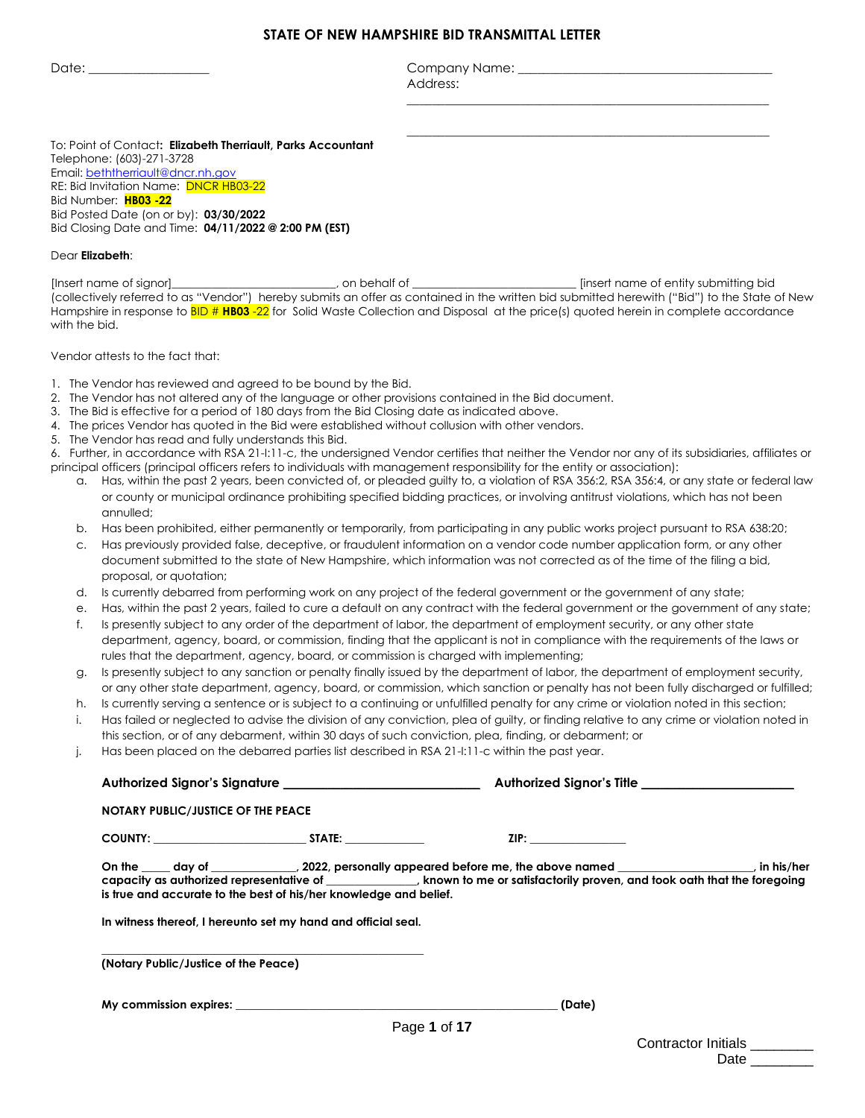#### **STATE OF NEW HAMPSHIRE BID TRANSMITTAL LETTER**

Date: \_\_\_\_\_\_\_\_\_\_\_\_\_\_\_\_\_\_\_ Company Name: \_\_\_\_\_\_\_\_\_\_\_\_\_\_\_\_\_\_\_\_\_\_\_\_\_\_\_\_\_\_\_\_\_\_\_\_\_\_\_\_ Address:

\_\_\_\_\_\_\_\_\_\_\_\_\_\_\_\_\_\_\_\_\_\_\_\_\_\_\_\_\_\_\_\_\_\_\_\_\_\_\_\_\_\_\_\_\_\_\_\_\_\_\_\_\_\_\_\_\_

\_\_\_\_\_\_\_\_\_\_\_\_\_\_\_\_\_\_\_\_\_\_\_\_\_\_\_\_\_\_\_\_\_\_\_\_\_\_\_\_\_\_\_\_\_\_\_\_\_\_\_\_\_\_\_\_\_

To: Point of Contact**: Elizabeth Therriault, Parks Accountant** Telephone: (603)-271-3728 Email: [beththerriault@dncr.nh.gov](mailto:beththerriault@dncr.nh.gov) RE: Bid Invitation Name: **DNCR HB03-22** Bid Number: **HB03 -22** Bid Posted Date (on or by): **03/30/2022** Bid Closing Date and Time: **04/11/2022 @ 2:00 PM (EST)**

#### Dear **Elizabeth**:

[Insert name of signor]\_\_\_\_\_\_\_\_\_\_\_\_\_\_\_\_\_\_\_\_\_\_\_\_\_\_\_\_\_, on behalf of \_\_\_\_\_\_\_\_\_\_\_\_\_\_\_\_\_\_\_\_\_\_\_\_\_\_\_\_\_ [insert name of entity submitting bid (collectively referred to as "Vendor") hereby submits an offer as contained in the written bid submitted herewith ("Bid") to the State of New Hampshire in response to BID # **HB03** -22 for Solid Waste Collection and Disposal at the price(s) quoted herein in complete accordance with the bid.

Vendor attests to the fact that:

- 1. The Vendor has reviewed and agreed to be bound by the Bid.
- 2. The Vendor has not altered any of the language or other provisions contained in the Bid document.
- 3. The Bid is effective for a period of 180 days from the Bid Closing date as indicated above.
- 4. The prices Vendor has quoted in the Bid were established without collusion with other vendors.
- 5. The Vendor has read and fully understands this Bid.

6. Further, in accordance with RSA 21-I:11-c, the undersigned Vendor certifies that neither the Vendor nor any of its subsidiaries, affiliates or principal officers (principal officers refers to individuals with management responsibility for the entity or association):

- a. Has, within the past 2 years, been convicted of, or pleaded guilty to, a violation of RSA 356:2, RSA 356:4, or any state or federal law or county or municipal ordinance prohibiting specified bidding practices, or involving antitrust violations, which has not been annulled;
- b. Has been prohibited, either permanently or temporarily, from participating in any public works project pursuant to RSA 638:20;
- c. Has previously provided false, deceptive, or fraudulent information on a vendor code number application form, or any other document submitted to the state of New Hampshire, which information was not corrected as of the time of the filing a bid, proposal, or quotation;
- d. Is currently debarred from performing work on any project of the federal government or the government of any state;
- e. Has, within the past 2 years, failed to cure a default on any contract with the federal government or the government of any state;
- f. Is presently subject to any order of the department of labor, the department of employment security, or any other state department, agency, board, or commission, finding that the applicant is not in compliance with the requirements of the laws or rules that the department, agency, board, or commission is charged with implementing;
- g. Is presently subject to any sanction or penalty finally issued by the department of labor, the department of employment security, or any other state department, agency, board, or commission, which sanction or penalty has not been fully discharged or fulfilled;
- h. Is currently serving a sentence or is subject to a continuing or unfulfilled penalty for any crime or violation noted in this section;
- i. Has failed or neglected to advise the division of any conviction, plea of guilty, or finding relative to any crime or violation noted in this section, or of any debarment, within 30 days of such conviction, plea, finding, or debarment; or
- j. Has been placed on the debarred parties list described in RSA 21-I:11-c within the past year.

|                                           |                                                                                                                                    | Authorized Signor's Title _______________________                                                                                                                                                                                                                                                                                                                                                                                                                                                                                                                                         |  |
|-------------------------------------------|------------------------------------------------------------------------------------------------------------------------------------|-------------------------------------------------------------------------------------------------------------------------------------------------------------------------------------------------------------------------------------------------------------------------------------------------------------------------------------------------------------------------------------------------------------------------------------------------------------------------------------------------------------------------------------------------------------------------------------------|--|
| <b>NOTARY PUBLIC/JUSTICE OF THE PEACE</b> |                                                                                                                                    |                                                                                                                                                                                                                                                                                                                                                                                                                                                                                                                                                                                           |  |
|                                           | COUNTY: STATE:                                                                                                                     | $\mathsf{ZIP}:\mathsf{S}^{\mathsf{op}}\longrightarrow\mathsf{S}^{\mathsf{op}}\longrightarrow\mathsf{S}^{\mathsf{op}}\longrightarrow\mathsf{S}^{\mathsf{op}}\longrightarrow\mathsf{S}^{\mathsf{op}}\longrightarrow\mathsf{S}^{\mathsf{op}}\longrightarrow\mathsf{S}^{\mathsf{op}}\longrightarrow\mathsf{S}^{\mathsf{op}}\longrightarrow\mathsf{S}^{\mathsf{op}}\longrightarrow\mathsf{S}^{\mathsf{op}}\longrightarrow\mathsf{S}^{\mathsf{op}}\longrightarrow\mathsf{S}^{\mathsf{op}}\longrightarrow\mathsf{S}^{\mathsf{op}}\longrightarrow\mathsf{S}^{\mathsf{op}}\longrightarrow\mathsf{$ |  |
|                                           | is true and accurate to the best of his/her knowledge and belief.<br>In witness thereof, I hereunto set my hand and official seal. | On the _____ day of ______________, 2022, personally appeared before me, the above named ____________________, in his/her<br>capacity as authorized representative of ______________, known to me or satisfactorily proven, and took oath that the foregoing                                                                                                                                                                                                                                                                                                                              |  |
| (Notary Public/Justice of the Peace)      |                                                                                                                                    |                                                                                                                                                                                                                                                                                                                                                                                                                                                                                                                                                                                           |  |
|                                           |                                                                                                                                    | (Date)                                                                                                                                                                                                                                                                                                                                                                                                                                                                                                                                                                                    |  |

| Contractor Initials |  |
|---------------------|--|
| Date                |  |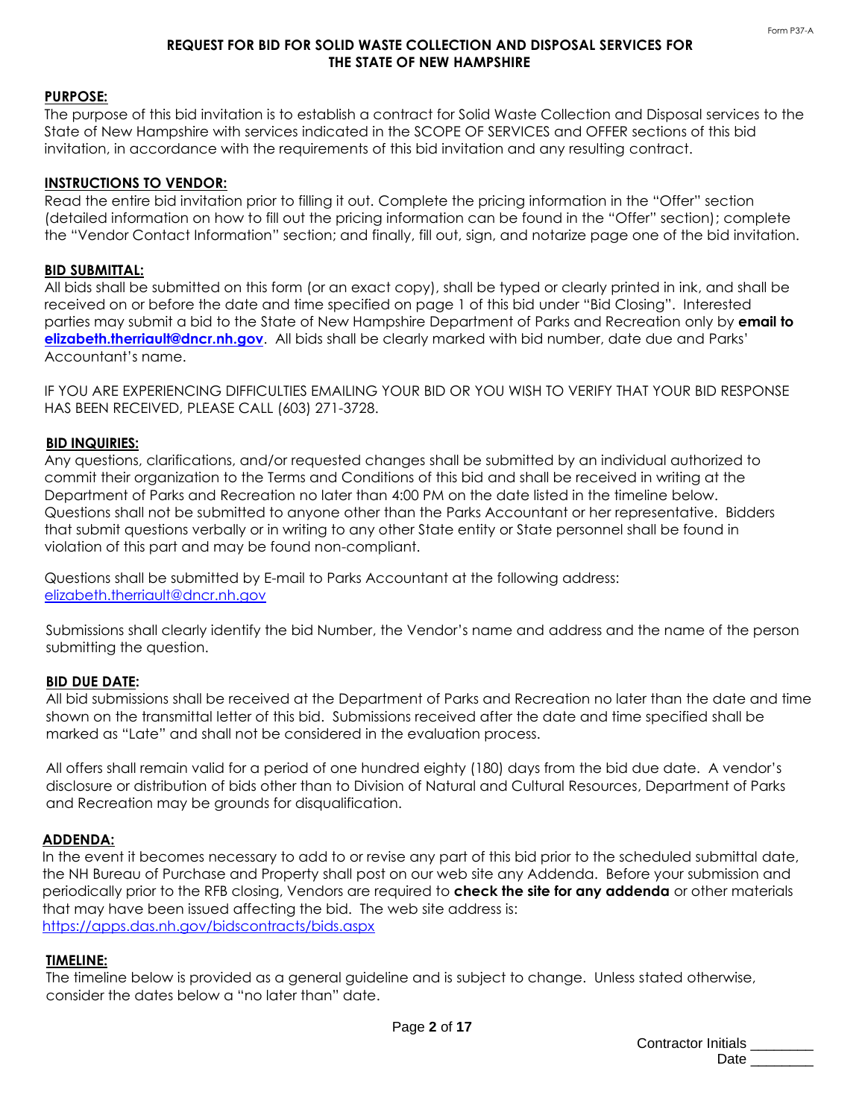## **REQUEST FOR BID FOR SOLID WASTE COLLECTION AND DISPOSAL SERVICES FOR THE STATE OF NEW HAMPSHIRE**

# **PURPOSE:**

The purpose of this bid invitation is to establish a contract for Solid Waste Collection and Disposal services to the State of New Hampshire with services indicated in the SCOPE OF SERVICES and OFFER sections of this bid invitation, in accordance with the requirements of this bid invitation and any resulting contract.

### **INSTRUCTIONS TO VENDOR:**

Read the entire bid invitation prior to filling it out. Complete the pricing information in the "Offer" section (detailed information on how to fill out the pricing information can be found in the "Offer" section); complete the "Vendor Contact Information" section; and finally, fill out, sign, and notarize page one of the bid invitation.

### **BID SUBMITTAL:**

All bids shall be submitted on this form (or an exact copy), shall be typed or clearly printed in ink, and shall be received on or before the date and time specified on page 1 of this bid under "Bid Closing". Interested parties may submit a bid to the State of New Hampshire Department of Parks and Recreation only by **email to [elizabeth.therriault@dncr.nh.gov](mailto:elizabeth.therriault@dncr.nh.gov)**. All bids shall be clearly marked with bid number, date due and Parks' Accountant's name.

IF YOU ARE EXPERIENCING DIFFICULTIES EMAILING YOUR BID OR YOU WISH TO VERIFY THAT YOUR BID RESPONSE HAS BEEN RECEIVED, PLEASE CALL (603) 271-3728.

### **BID INQUIRIES:**

Any questions, clarifications, and/or requested changes shall be submitted by an individual authorized to commit their organization to the Terms and Conditions of this bid and shall be received in writing at the Department of Parks and Recreation no later than 4:00 PM on the date listed in the timeline below. Questions shall not be submitted to anyone other than the Parks Accountant or her representative. Bidders that submit questions verbally or in writing to any other State entity or State personnel shall be found in violation of this part and may be found non-compliant.

Questions shall be submitted by E-mail to Parks Accountant at the following address: [elizabeth.therriault@dncr.nh.gov](mailto:elizabeth.therriault@dncr.nh.gov)

Submissions shall clearly identify the bid Number, the Vendor's name and address and the name of the person submitting the question.

## **BID DUE DATE:**

All bid submissions shall be received at the Department of Parks and Recreation no later than the date and time shown on the transmittal letter of this bid. Submissions received after the date and time specified shall be marked as "Late" and shall not be considered in the evaluation process.

All offers shall remain valid for a period of one hundred eighty (180) days from the bid due date. A vendor's disclosure or distribution of bids other than to Division of Natural and Cultural Resources, Department of Parks and Recreation may be grounds for disqualification.

### **ADDENDA:**

In the event it becomes necessary to add to or revise any part of this bid prior to the scheduled submittal date, the NH Bureau of Purchase and Property shall post on our web site any Addenda. Before your submission and periodically prior to the RFB closing, Vendors are required to **check the site for any addenda** or other materials that may have been issued affecting the bid. The web site address is: <https://apps.das.nh.gov/bidscontracts/bids.aspx>

#### **TIMELINE:**

The timeline below is provided as a general guideline and is subject to change. Unless stated otherwise, consider the dates below a "no later than" date.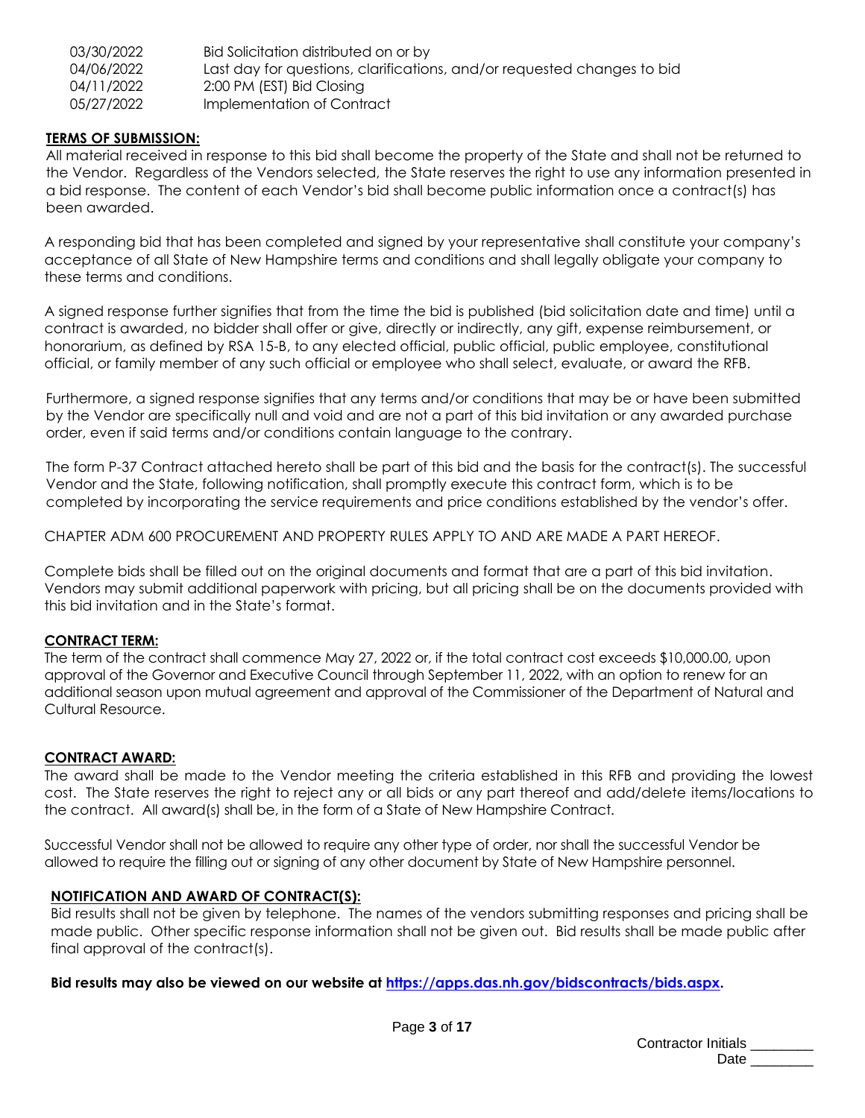| 03/30/2022 | Bid Solicitation distributed on or by                                   |
|------------|-------------------------------------------------------------------------|
| 04/06/2022 | Last day for questions, clarifications, and/or requested changes to bid |
| 04/11/2022 | 2:00 PM (EST) Bid Closing                                               |
| 05/27/2022 | Implementation of Contract                                              |

# **TERMS OF SUBMISSION:**

All material received in response to this bid shall become the property of the State and shall not be returned to the Vendor. Regardless of the Vendors selected, the State reserves the right to use any information presented in a bid response. The content of each Vendor's bid shall become public information once a contract(s) has been awarded.

A responding bid that has been completed and signed by your representative shall constitute your company's acceptance of all State of New Hampshire terms and conditions and shall legally obligate your company to these terms and conditions.

A signed response further signifies that from the time the bid is published (bid solicitation date and time) until a contract is awarded, no bidder shall offer or give, directly or indirectly, any gift, expense reimbursement, or honorarium, as defined by RSA 15-B, to any elected official, public official, public employee, constitutional official, or family member of any such official or employee who shall select, evaluate, or award the RFB.

Furthermore, a signed response signifies that any terms and/or conditions that may be or have been submitted by the Vendor are specifically null and void and are not a part of this bid invitation or any awarded purchase order, even if said terms and/or conditions contain language to the contrary.

The form P-37 Contract attached hereto shall be part of this bid and the basis for the contract(s). The successful Vendor and the State, following notification, shall promptly execute this contract form, which is to be completed by incorporating the service requirements and price conditions established by the vendor's offer.

CHAPTER ADM 600 PROCUREMENT AND PROPERTY RULES APPLY TO AND ARE MADE A PART HEREOF.

Complete bids shall be filled out on the original documents and format that are a part of this bid invitation. Vendors may submit additional paperwork with pricing, but all pricing shall be on the documents provided with this bid invitation and in the State's format.

# **CONTRACT TERM:**

The term of the contract shall commence May 27, 2022 or, if the total contract cost exceeds \$10,000.00, upon approval of the Governor and Executive Council through September 11, 2022, with an option to renew for an additional season upon mutual agreement and approval of the Commissioner of the Department of Natural and Cultural Resource.

## **CONTRACT AWARD:**

The award shall be made to the Vendor meeting the criteria established in this RFB and providing the lowest cost. The State reserves the right to reject any or all bids or any part thereof and add/delete items/locations to the contract. All award(s) shall be, in the form of a State of New Hampshire Contract.

Successful Vendor shall not be allowed to require any other type of order, nor shall the successful Vendor be allowed to require the filling out or signing of any other document by State of New Hampshire personnel.

## **NOTIFICATION AND AWARD OF CONTRACT(S):**

Bid results shall not be given by telephone. The names of the vendors submitting responses and pricing shall be made public. Other specific response information shall not be given out. Bid results shall be made public after final approval of the contract(s).

**Bid results may also be viewed on our website at [https://apps.das.nh.gov/bidscontracts/bids.aspx.](https://apps.das.nh.gov/bidscontracts/bids.aspx)**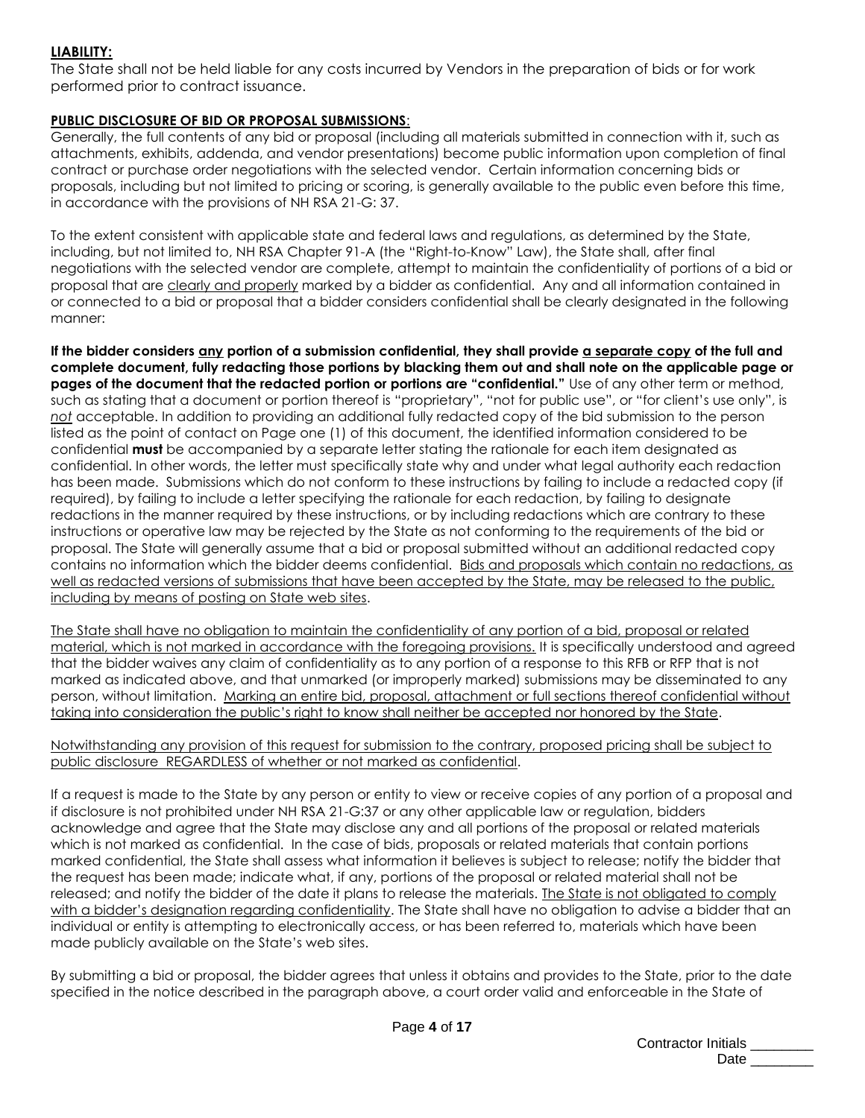# **LIABILITY:**

The State shall not be held liable for any costs incurred by Vendors in the preparation of bids or for work performed prior to contract issuance.

# **PUBLIC DISCLOSURE OF BID OR PROPOSAL SUBMISSIONS**:

Generally, the full contents of any bid or proposal (including all materials submitted in connection with it, such as attachments, exhibits, addenda, and vendor presentations) become public information upon completion of final contract or purchase order negotiations with the selected vendor. Certain information concerning bids or proposals, including but not limited to pricing or scoring, is generally available to the public even before this time, in accordance with the provisions of NH RSA 21-G: 37.

To the extent consistent with applicable state and federal laws and regulations, as determined by the State, including, but not limited to, NH RSA Chapter 91-A (the "Right-to-Know" Law), the State shall, after final negotiations with the selected vendor are complete, attempt to maintain the confidentiality of portions of a bid or proposal that are clearly and properly marked by a bidder as confidential. Any and all information contained in or connected to a bid or proposal that a bidder considers confidential shall be clearly designated in the following manner:

**If the bidder considers any portion of a submission confidential, they shall provide a separate copy of the full and complete document, fully redacting those portions by blacking them out and shall note on the applicable page or pages of the document that the redacted portion or portions are "confidential."** Use of any other term or method, such as stating that a document or portion thereof is "proprietary", "not for public use", or "for client's use only", is *not* acceptable. In addition to providing an additional fully redacted copy of the bid submission to the person listed as the point of contact on Page one (1) of this document, the identified information considered to be confidential **must** be accompanied by a separate letter stating the rationale for each item designated as confidential. In other words, the letter must specifically state why and under what legal authority each redaction has been made. Submissions which do not conform to these instructions by failing to include a redacted copy (if required), by failing to include a letter specifying the rationale for each redaction, by failing to designate redactions in the manner required by these instructions, or by including redactions which are contrary to these instructions or operative law may be rejected by the State as not conforming to the requirements of the bid or proposal. The State will generally assume that a bid or proposal submitted without an additional redacted copy contains no information which the bidder deems confidential. Bids and proposals which contain no redactions, as well as redacted versions of submissions that have been accepted by the State, may be released to the public, including by means of posting on State web sites.

The State shall have no obligation to maintain the confidentiality of any portion of a bid, proposal or related material, which is not marked in accordance with the foregoing provisions. It is specifically understood and agreed that the bidder waives any claim of confidentiality as to any portion of a response to this RFB or RFP that is not marked as indicated above, and that unmarked (or improperly marked) submissions may be disseminated to any person, without limitation. Marking an entire bid, proposal, attachment or full sections thereof confidential without taking into consideration the public's right to know shall neither be accepted nor honored by the State.

### Notwithstanding any provision of this request for submission to the contrary, proposed pricing shall be subject to public disclosure REGARDLESS of whether or not marked as confidential.

If a request is made to the State by any person or entity to view or receive copies of any portion of a proposal and if disclosure is not prohibited under NH RSA 21-G:37 or any other applicable law or regulation, bidders acknowledge and agree that the State may disclose any and all portions of the proposal or related materials which is not marked as confidential. In the case of bids, proposals or related materials that contain portions marked confidential, the State shall assess what information it believes is subject to release; notify the bidder that the request has been made; indicate what, if any, portions of the proposal or related material shall not be released; and notify the bidder of the date it plans to release the materials. The State is not obligated to comply with a bidder's designation regarding confidentiality. The State shall have no obligation to advise a bidder that an individual or entity is attempting to electronically access, or has been referred to, materials which have been made publicly available on the State's web sites.

By submitting a bid or proposal, the bidder agrees that unless it obtains and provides to the State, prior to the date specified in the notice described in the paragraph above, a court order valid and enforceable in the State of

| <b>Contractor Initials</b> |  |
|----------------------------|--|
| Date                       |  |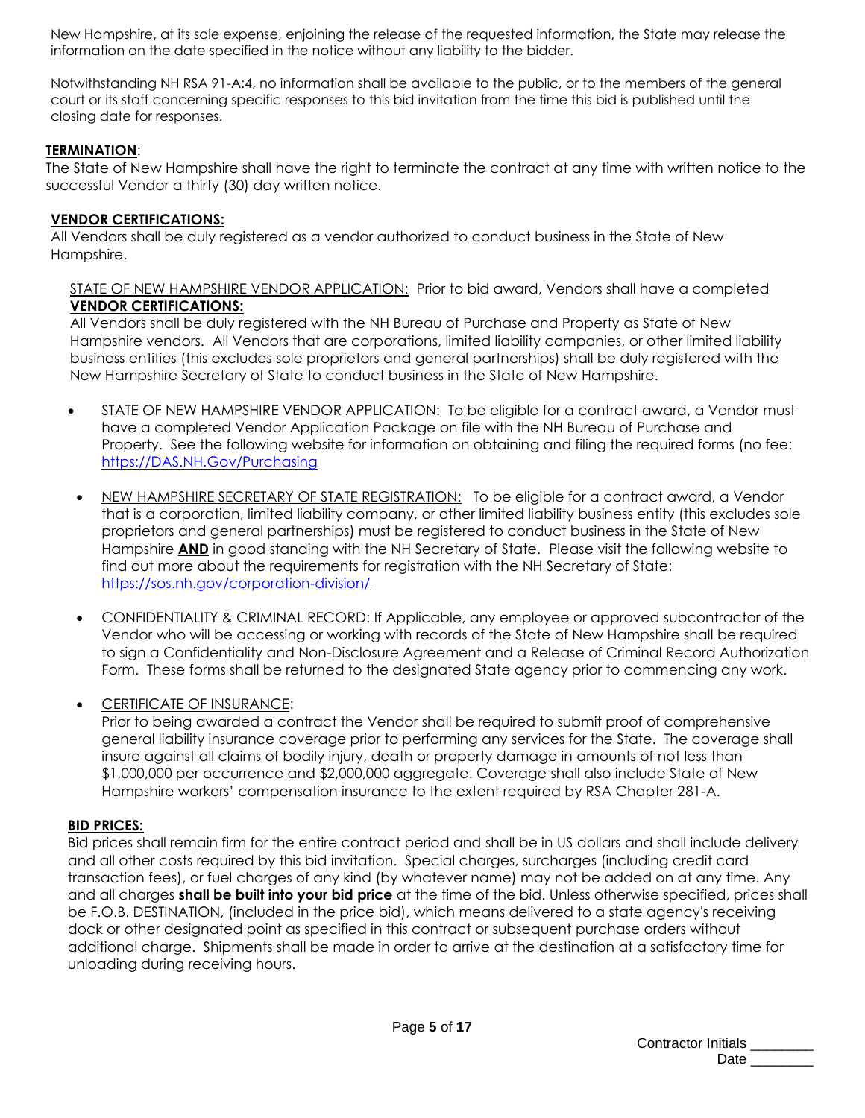New Hampshire, at its sole expense, enjoining the release of the requested information, the State may release the information on the date specified in the notice without any liability to the bidder.

Notwithstanding NH RSA 91-A:4, no information shall be available to the public, or to the members of the general court or its staff concerning specific responses to this bid invitation from the time this bid is published until the closing date for responses.

# **TERMINATION**:

The State of New Hampshire shall have the right to terminate the contract at any time with written notice to the successful Vendor a thirty (30) day written notice.

# **VENDOR CERTIFICATIONS:**

All Vendors shall be duly registered as a vendor authorized to conduct business in the State of New Hampshire.

# STATE OF NEW HAMPSHIRE VENDOR APPLICATION: Prior to bid award, Vendors shall have a completed **VENDOR CERTIFICATIONS:**

All Vendors shall be duly registered with the NH Bureau of Purchase and Property as State of New Hampshire vendors. All Vendors that are corporations, limited liability companies, or other limited liability business entities (this excludes sole proprietors and general partnerships) shall be duly registered with the New Hampshire Secretary of State to conduct business in the State of New Hampshire.

- STATE OF NEW HAMPSHIRE VENDOR APPLICATION: To be eligible for a contract award, a Vendor must have a completed Vendor Application Package on file with the NH Bureau of Purchase and Property. See the following website for information on obtaining and filing the required forms (no fee: [https://DAS.NH.Gov/Purchasing](https://das.nh.gov/Purchasing)
- NEW HAMPSHIRE SECRETARY OF STATE REGISTRATION: To be eligible for a contract award, a Vendor that is a corporation, limited liability company, or other limited liability business entity (this excludes sole proprietors and general partnerships) must be registered to conduct business in the State of New Hampshire **AND** in good standing with the NH Secretary of State. Please visit the following website to find out more about the requirements for registration with the NH Secretary of State: <https://sos.nh.gov/corporation-division/>
- CONFIDENTIALITY & CRIMINAL RECORD: If Applicable, any employee or approved subcontractor of the Vendor who will be accessing or working with records of the State of New Hampshire shall be required to sign a Confidentiality and Non-Disclosure Agreement and a Release of Criminal Record Authorization Form. These forms shall be returned to the designated State agency prior to commencing any work.
- CERTIFICATE OF INSURANCE:

Prior to being awarded a contract the Vendor shall be required to submit proof of comprehensive general liability insurance coverage prior to performing any services for the State. The coverage shall insure against all claims of bodily injury, death or property damage in amounts of not less than \$1,000,000 per occurrence and \$2,000,000 aggregate. Coverage shall also include State of New Hampshire workers' compensation insurance to the extent required by RSA Chapter 281-A.

## **BID PRICES:**

Bid prices shall remain firm for the entire contract period and shall be in US dollars and shall include delivery and all other costs required by this bid invitation. Special charges, surcharges (including credit card transaction fees), or fuel charges of any kind (by whatever name) may not be added on at any time. Any and all charges **shall be built into your bid price** at the time of the bid. Unless otherwise specified, prices shall be F.O.B. DESTINATION, (included in the price bid), which means delivered to a state agency's receiving dock or other designated point as specified in this contract or subsequent purchase orders without additional charge. Shipments shall be made in order to arrive at the destination at a satisfactory time for unloading during receiving hours.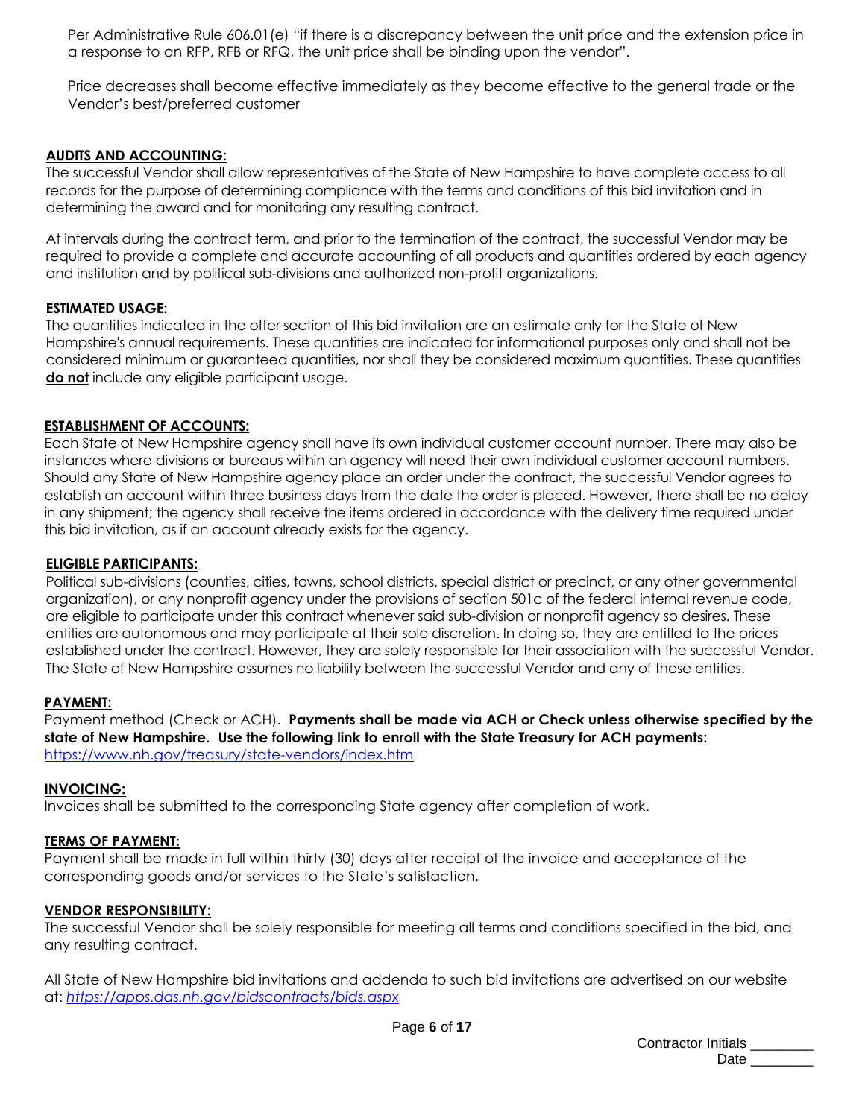Per Administrative Rule 606.01(e) "if there is a discrepancy between the unit price and the extension price in a response to an RFP, RFB or RFQ, the unit price shall be binding upon the vendor".

Price decreases shall become effective immediately as they become effective to the general trade or the Vendor's best/preferred customer

# **AUDITS AND ACCOUNTING:**

The successful Vendor shall allow representatives of the State of New Hampshire to have complete access to all records for the purpose of determining compliance with the terms and conditions of this bid invitation and in determining the award and for monitoring any resulting contract.

At intervals during the contract term, and prior to the termination of the contract, the successful Vendor may be required to provide a complete and accurate accounting of all products and quantities ordered by each agency and institution and by political sub-divisions and authorized non-profit organizations.

## **ESTIMATED USAGE:**

The quantities indicated in the offer section of this bid invitation are an estimate only for the State of New Hampshire's annual requirements. These quantities are indicated for informational purposes only and shall not be considered minimum or guaranteed quantities, nor shall they be considered maximum quantities. These quantities **do not** include any eligible participant usage.

# **ESTABLISHMENT OF ACCOUNTS:**

Each State of New Hampshire agency shall have its own individual customer account number. There may also be instances where divisions or bureaus within an agency will need their own individual customer account numbers. Should any State of New Hampshire agency place an order under the contract, the successful Vendor agrees to establish an account within three business days from the date the order is placed. However, there shall be no delay in any shipment; the agency shall receive the items ordered in accordance with the delivery time required under this bid invitation, as if an account already exists for the agency.

# **ELIGIBLE PARTICIPANTS:**

Political sub-divisions (counties, cities, towns, school districts, special district or precinct, or any other governmental organization), or any nonprofit agency under the provisions of section 501c of the federal internal revenue code, are eligible to participate under this contract whenever said sub-division or nonprofit agency so desires. These entities are autonomous and may participate at their sole discretion. In doing so, they are entitled to the prices established under the contract. However, they are solely responsible for their association with the successful Vendor. The State of New Hampshire assumes no liability between the successful Vendor and any of these entities.

## **PAYMENT:**

Payment method (Check or ACH). **Payments shall be made via ACH or Check unless otherwise specified by the state of New Hampshire. Use the following link to enroll with the State Treasury for ACH payments:**  <https://www.nh.gov/treasury/state-vendors/index.htm>

## **INVOICING:**

Invoices shall be submitted to the corresponding State agency after completion of work.

## **TERMS OF PAYMENT:**

Payment shall be made in full within thirty (30) days after receipt of the invoice and acceptance of the corresponding goods and/or services to the State's satisfaction.

## **VENDOR RESPONSIBILITY:**

The successful Vendor shall be solely responsible for meeting all terms and conditions specified in the bid, and any resulting contract.

All State of New Hampshire bid invitations and addenda to such bid invitations are advertised on our website at: *<https://apps.das.nh.gov/bidscontracts/bids.aspx>*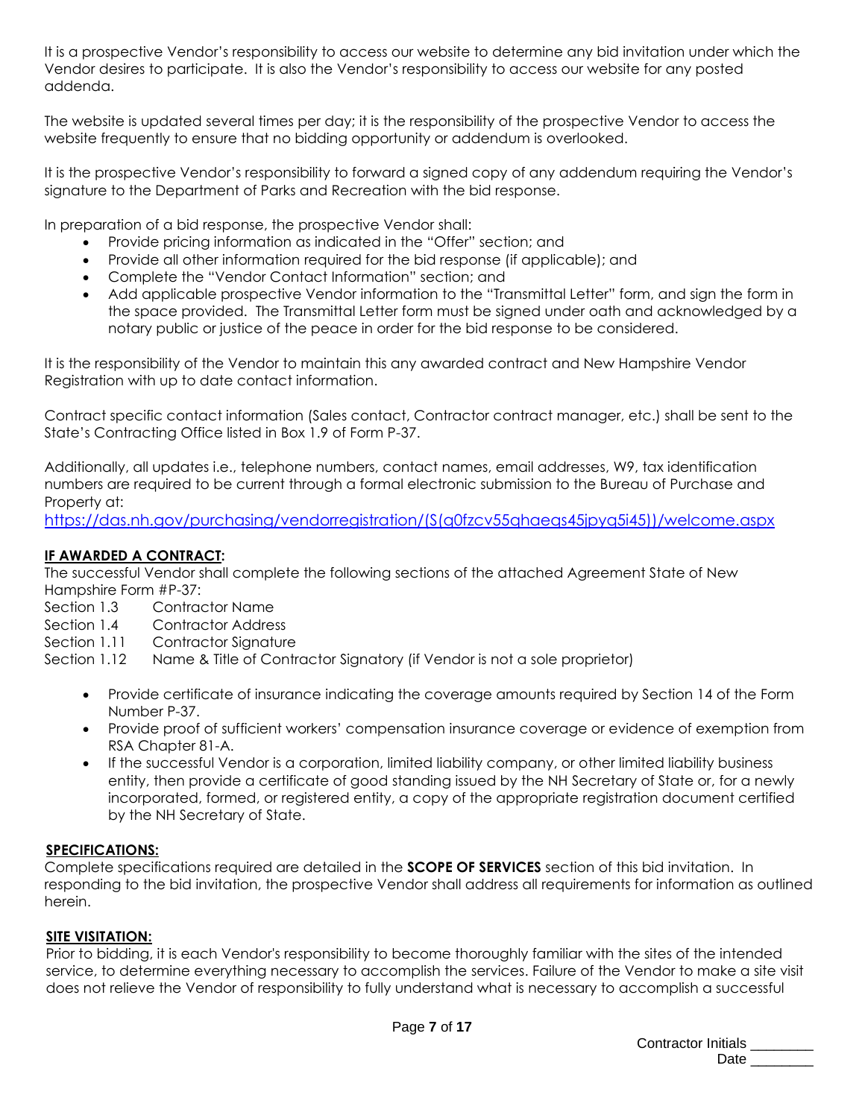It is a prospective Vendor's responsibility to access our website to determine any bid invitation under which the Vendor desires to participate. It is also the Vendor's responsibility to access our website for any posted addenda.

The website is updated several times per day; it is the responsibility of the prospective Vendor to access the website frequently to ensure that no bidding opportunity or addendum is overlooked.

It is the prospective Vendor's responsibility to forward a signed copy of any addendum requiring the Vendor's signature to the Department of Parks and Recreation with the bid response.

In preparation of a bid response, the prospective Vendor shall:

- Provide pricing information as indicated in the "Offer" section; and
- Provide all other information required for the bid response (if applicable); and
- Complete the "Vendor Contact Information" section; and
- Add applicable prospective Vendor information to the "Transmittal Letter" form, and sign the form in the space provided. The Transmittal Letter form must be signed under oath and acknowledged by a notary public or justice of the peace in order for the bid response to be considered.

It is the responsibility of the Vendor to maintain this any awarded contract and New Hampshire Vendor Registration with up to date contact information.

Contract specific contact information (Sales contact, Contractor contract manager, etc.) shall be sent to the State's Contracting Office listed in Box 1.9 of Form P-37.

Additionally, all updates i.e., telephone numbers, contact names, email addresses, W9, tax identification numbers are required to be current through a formal electronic submission to the Bureau of Purchase and Property at:

[https://das.nh.gov/purchasing/vendorregistration/\(S\(q0fzcv55qhaeqs45jpyq5i45\)\)/welcome.aspx](https://das.nh.gov/purchasing/vendorregistration/(S(q0fzcv55qhaeqs45jpyq5i45))/welcome.aspx)

# **IF AWARDED A CONTRACT:**

The successful Vendor shall complete the following sections of the attached Agreement State of New Hampshire Form #P-37:

- Section 1.3 Contractor Name
- Section 1.4 Contractor Address
- Section 1.11 Contractor Signature

Section 1.12 Name & Title of Contractor Signatory (if Vendor is not a sole proprietor)

- Provide certificate of insurance indicating the coverage amounts required by Section 14 of the Form Number P-37.
- Provide proof of sufficient workers' compensation insurance coverage or evidence of exemption from RSA Chapter 81-A.
- If the successful Vendor is a corporation, limited liability company, or other limited liability business entity, then provide a certificate of good standing issued by the NH Secretary of State or, for a newly incorporated, formed, or registered entity, a copy of the appropriate registration document certified by the NH Secretary of State.

# **SPECIFICATIONS:**

Complete specifications required are detailed in the **SCOPE OF SERVICES** section of this bid invitation. In responding to the bid invitation, the prospective Vendor shall address all requirements for information as outlined herein.

# **SITE VISITATION:**

Prior to bidding, it is each Vendor's responsibility to become thoroughly familiar with the sites of the intended service, to determine everything necessary to accomplish the services. Failure of the Vendor to make a site visit does not relieve the Vendor of responsibility to fully understand what is necessary to accomplish a successful

| Contractor Initials |  |
|---------------------|--|
| Date                |  |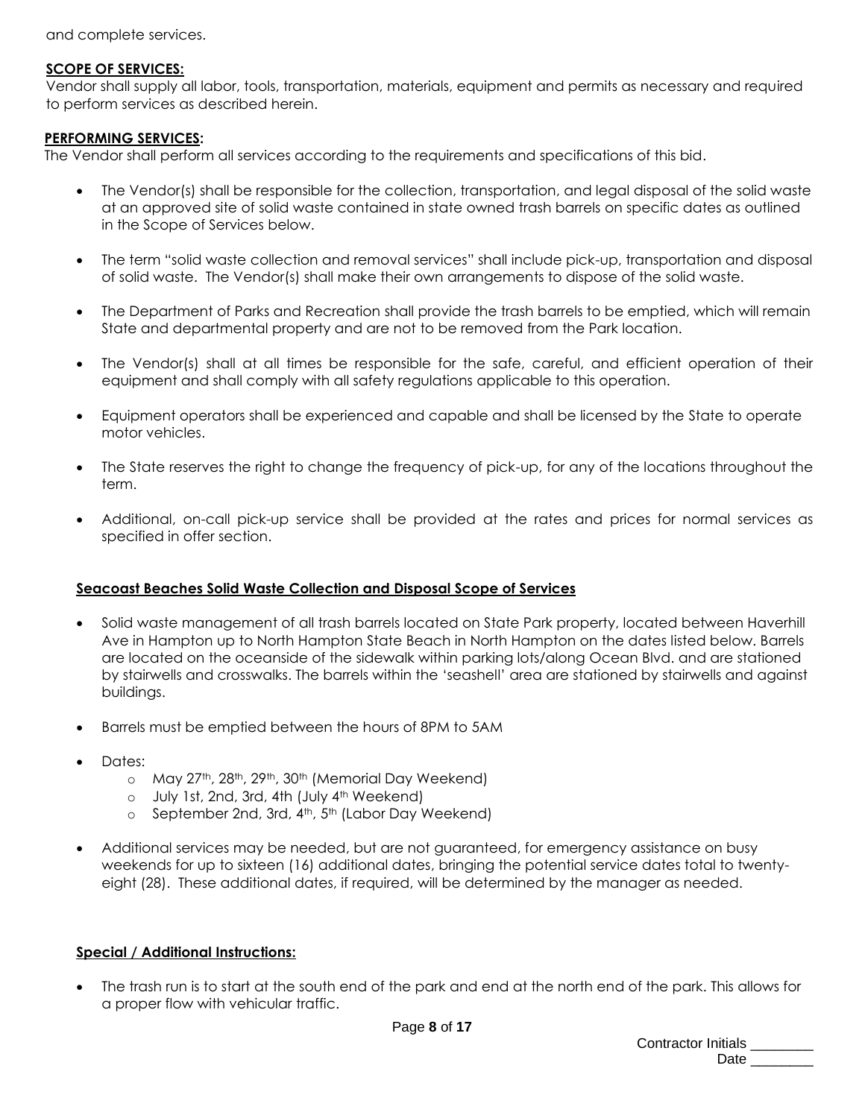and complete services.

# **SCOPE OF SERVICES:**

Vendor shall supply all labor, tools, transportation, materials, equipment and permits as necessary and required to perform services as described herein.

# **PERFORMING SERVICES:**

The Vendor shall perform all services according to the requirements and specifications of this bid.

- The Vendor(s) shall be responsible for the collection, transportation, and legal disposal of the solid waste at an approved site of solid waste contained in state owned trash barrels on specific dates as outlined in the Scope of Services below.
- The term "solid waste collection and removal services" shall include pick-up, transportation and disposal of solid waste. The Vendor(s) shall make their own arrangements to dispose of the solid waste.
- The Department of Parks and Recreation shall provide the trash barrels to be emptied, which will remain State and departmental property and are not to be removed from the Park location.
- The Vendor(s) shall at all times be responsible for the safe, careful, and efficient operation of their equipment and shall comply with all safety regulations applicable to this operation.
- Equipment operators shall be experienced and capable and shall be licensed by the State to operate motor vehicles.
- The State reserves the right to change the frequency of pick-up, for any of the locations throughout the term.
- Additional, on-call pick-up service shall be provided at the rates and prices for normal services as specified in offer section.

# **Seacoast Beaches Solid Waste Collection and Disposal Scope of Services**

- Solid waste management of all trash barrels located on State Park property, located between Haverhill Ave in Hampton up to North Hampton State Beach in North Hampton on the dates listed below. Barrels are located on the oceanside of the sidewalk within parking lots/along Ocean Blvd. and are stationed by stairwells and crosswalks. The barrels within the 'seashell' area are stationed by stairwells and against buildings.
- Barrels must be emptied between the hours of 8PM to 5AM
- Dates:
	- o May 27<sup>th</sup>, 28<sup>th</sup>, 29<sup>th</sup>, 30<sup>th</sup> (Memorial Day Weekend)
	- o July 1st, 2nd, 3rd, 4th (July 4th Weekend)
	- o September 2nd, 3rd, 4<sup>th</sup>, 5<sup>th</sup> (Labor Day Weekend)
- Additional services may be needed, but are not guaranteed, for emergency assistance on busy weekends for up to sixteen (16) additional dates, bringing the potential service dates total to twentyeight (28). These additional dates, if required, will be determined by the manager as needed.

# **Special / Additional Instructions:**

The trash run is to start at the south end of the park and end at the north end of the park. This allows for a proper flow with vehicular traffic.

| Contractor Initials |  |
|---------------------|--|
| Date                |  |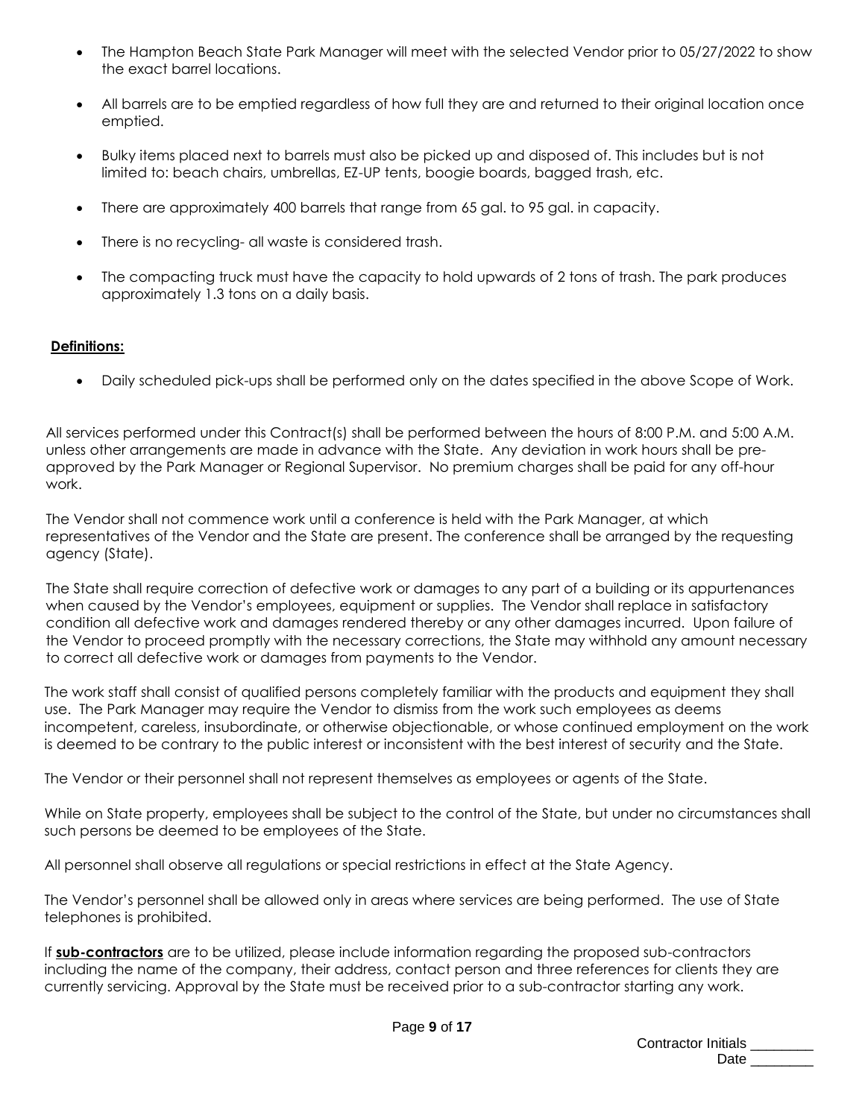- The Hampton Beach State Park Manager will meet with the selected Vendor prior to 05/27/2022 to show the exact barrel locations.
- All barrels are to be emptied regardless of how full they are and returned to their original location once emptied.
- Bulky items placed next to barrels must also be picked up and disposed of. This includes but is not limited to: beach chairs, umbrellas, EZ-UP tents, boogie boards, bagged trash, etc.
- There are approximately 400 barrels that range from 65 gal. to 95 gal. in capacity.
- There is no recycling- all waste is considered trash.
- The compacting truck must have the capacity to hold upwards of 2 tons of trash. The park produces approximately 1.3 tons on a daily basis.

# **Definitions:**

• Daily scheduled pick-ups shall be performed only on the dates specified in the above Scope of Work.

All services performed under this Contract(s) shall be performed between the hours of 8:00 P.M. and 5:00 A.M. unless other arrangements are made in advance with the State. Any deviation in work hours shall be preapproved by the Park Manager or Regional Supervisor. No premium charges shall be paid for any off-hour work.

The Vendor shall not commence work until a conference is held with the Park Manager, at which representatives of the Vendor and the State are present. The conference shall be arranged by the requesting agency (State).

The State shall require correction of defective work or damages to any part of a building or its appurtenances when caused by the Vendor's employees, equipment or supplies. The Vendor shall replace in satisfactory condition all defective work and damages rendered thereby or any other damages incurred. Upon failure of the Vendor to proceed promptly with the necessary corrections, the State may withhold any amount necessary to correct all defective work or damages from payments to the Vendor.

The work staff shall consist of qualified persons completely familiar with the products and equipment they shall use. The Park Manager may require the Vendor to dismiss from the work such employees as deems incompetent, careless, insubordinate, or otherwise objectionable, or whose continued employment on the work is deemed to be contrary to the public interest or inconsistent with the best interest of security and the State.

The Vendor or their personnel shall not represent themselves as employees or agents of the State.

While on State property, employees shall be subject to the control of the State, but under no circumstances shall such persons be deemed to be employees of the State.

All personnel shall observe all regulations or special restrictions in effect at the State Agency.

The Vendor's personnel shall be allowed only in areas where services are being performed. The use of State telephones is prohibited.

If **sub-contractors** are to be utilized, please include information regarding the proposed sub-contractors including the name of the company, their address, contact person and three references for clients they are currently servicing. Approval by the State must be received prior to a sub-contractor starting any work.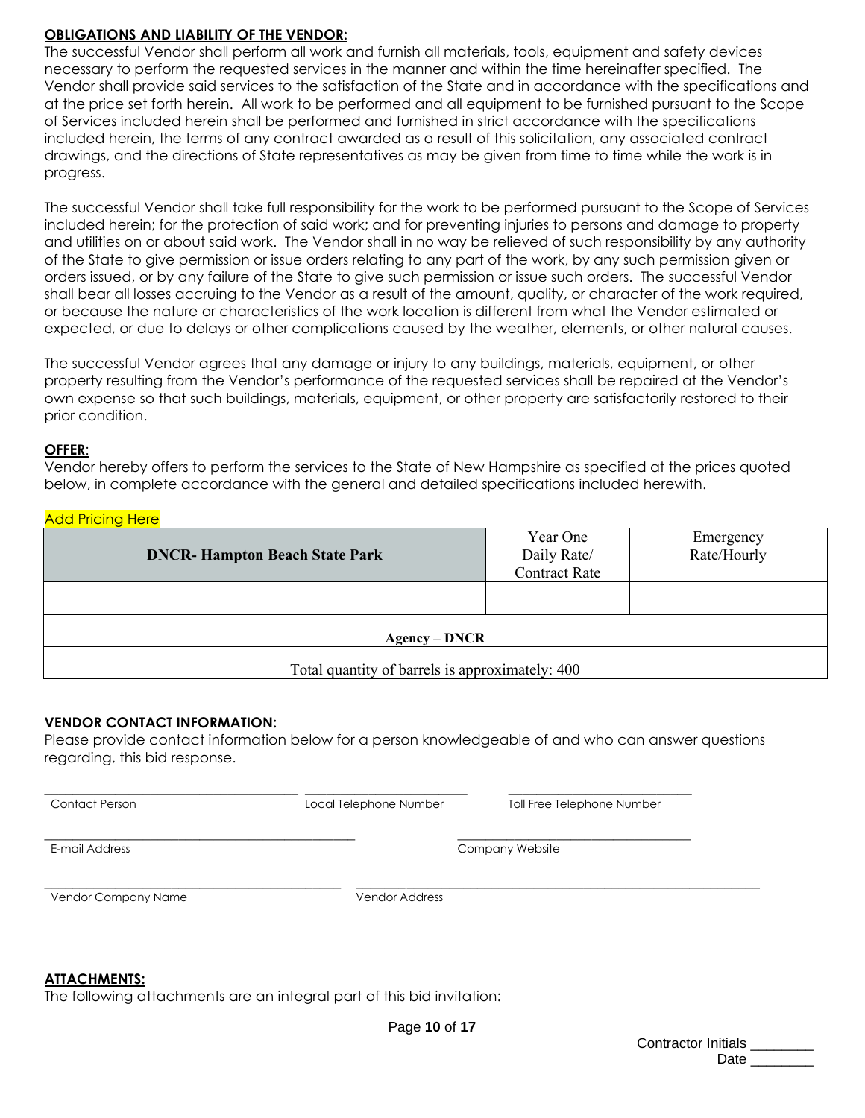# **OBLIGATIONS AND LIABILITY OF THE VENDOR:**

The successful Vendor shall perform all work and furnish all materials, tools, equipment and safety devices necessary to perform the requested services in the manner and within the time hereinafter specified. The Vendor shall provide said services to the satisfaction of the State and in accordance with the specifications and at the price set forth herein. All work to be performed and all equipment to be furnished pursuant to the Scope of Services included herein shall be performed and furnished in strict accordance with the specifications included herein, the terms of any contract awarded as a result of this solicitation, any associated contract drawings, and the directions of State representatives as may be given from time to time while the work is in progress.

The successful Vendor shall take full responsibility for the work to be performed pursuant to the Scope of Services included herein; for the protection of said work; and for preventing injuries to persons and damage to property and utilities on or about said work. The Vendor shall in no way be relieved of such responsibility by any authority of the State to give permission or issue orders relating to any part of the work, by any such permission given or orders issued, or by any failure of the State to give such permission or issue such orders. The successful Vendor shall bear all losses accruing to the Vendor as a result of the amount, quality, or character of the work required, or because the nature or characteristics of the work location is different from what the Vendor estimated or expected, or due to delays or other complications caused by the weather, elements, or other natural causes.

The successful Vendor agrees that any damage or injury to any buildings, materials, equipment, or other property resulting from the Vendor's performance of the requested services shall be repaired at the Vendor's own expense so that such buildings, materials, equipment, or other property are satisfactorily restored to their prior condition.

## **OFFER**:

Vendor hereby offers to perform the services to the State of New Hampshire as specified at the prices quoted below, in complete accordance with the general and detailed specifications included herewith.

## **Add Pricing Here**

| <b>DNCR-Hampton Beach State Park</b>            | Year One<br>Daily Rate/<br><b>Contract Rate</b> | Emergency<br>Rate/Hourly |  |
|-------------------------------------------------|-------------------------------------------------|--------------------------|--|
|                                                 |                                                 |                          |  |
| <b>Agency – DNCR</b>                            |                                                 |                          |  |
| Total quantity of barrels is approximately: 400 |                                                 |                          |  |

## **VENDOR CONTACT INFORMATION:**

Please provide contact information below for a person knowledgeable of and who can answer questions regarding, this bid response.

\_\_\_\_\_\_\_\_\_\_\_\_\_\_\_\_\_\_\_\_\_\_\_\_\_\_\_\_\_\_\_\_\_\_\_\_ \_\_\_\_\_\_\_\_\_\_\_\_\_\_\_\_\_\_\_\_\_\_\_ \_\_\_\_\_\_\_\_\_\_\_\_\_\_\_\_\_\_\_\_\_\_\_\_\_\_

\_\_\_\_\_\_\_\_\_\_\_\_\_\_\_\_\_\_\_\_\_\_\_\_\_\_\_\_\_\_\_\_\_\_\_\_\_\_\_\_\_\_\_\_ \_\_\_\_\_\_\_\_\_\_\_\_\_\_\_\_\_\_\_\_\_\_\_\_\_\_\_\_\_\_\_\_\_

Contact Person Local Telephone Number Toll Free Telephone Number

E-mail Address Company Website

Vendor Company Name Vendor Address

\_\_\_\_\_\_\_\_\_\_\_\_\_\_\_\_\_\_\_\_\_\_\_\_\_\_\_\_\_\_\_\_\_\_\_\_\_\_\_\_\_\_ \_\_\_\_\_\_\_\_\_\_\_\_\_\_\_\_\_\_\_\_\_\_\_\_\_\_\_\_\_\_\_\_\_\_\_\_\_\_\_\_\_\_\_\_\_\_\_\_\_\_\_\_\_\_\_\_\_

## **ATTACHMENTS:**

The following attachments are an integral part of this bid invitation: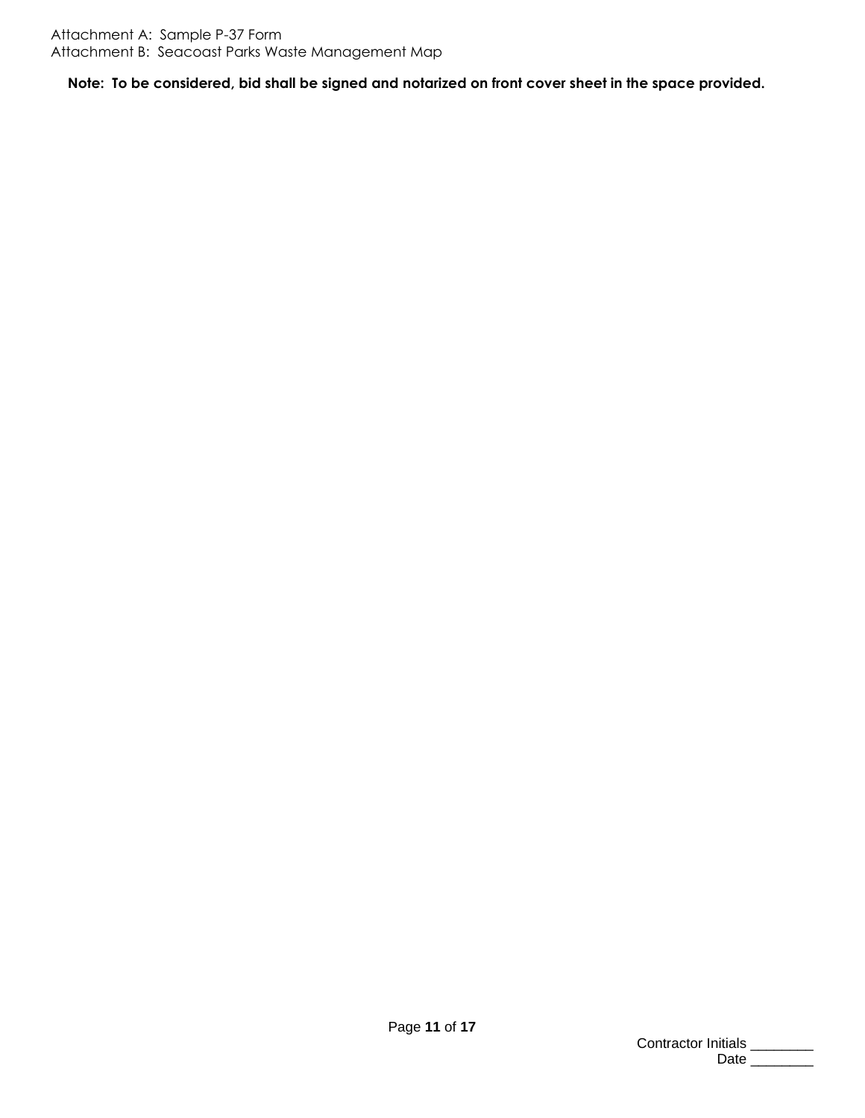**Note: To be considered, bid shall be signed and notarized on front cover sheet in the space provided.**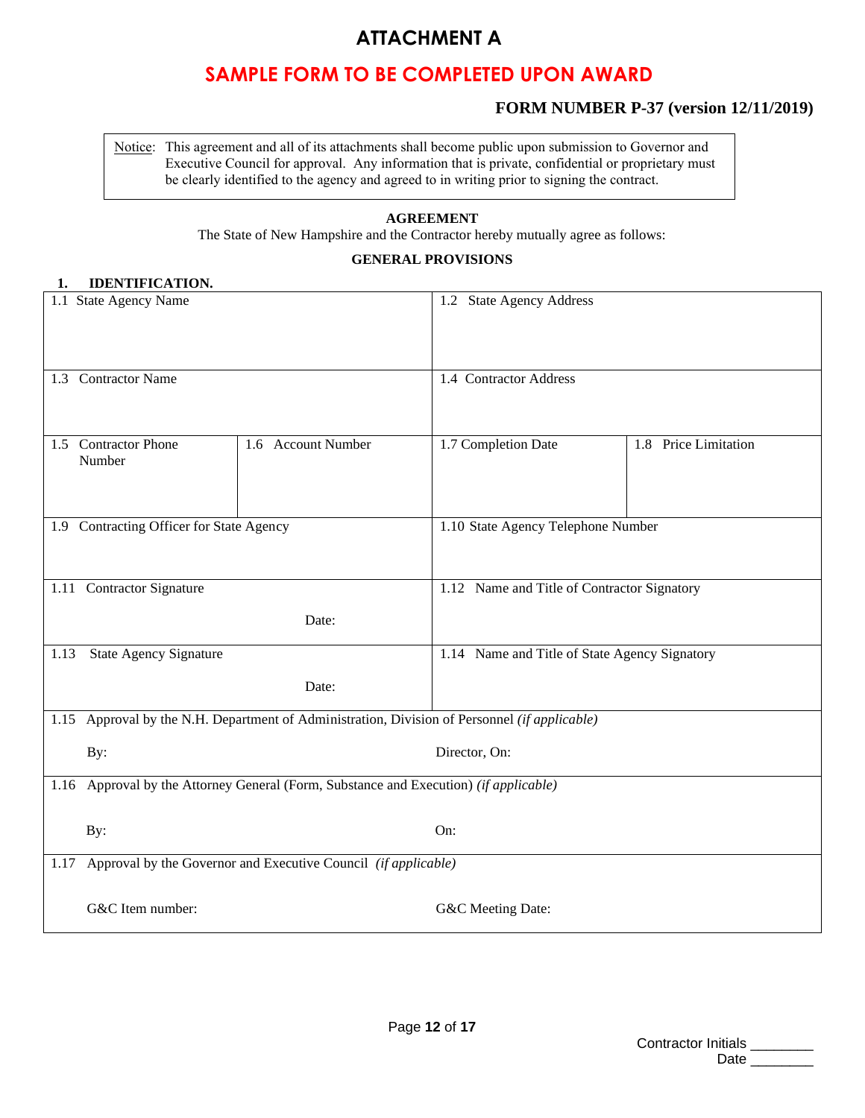# **ATTACHMENT A**

# **SAMPLE FORM TO BE COMPLETED UPON AWARD**

# **FORM NUMBER P-37 (version 12/11/2019)**

Notice: This agreement and all of its attachments shall become public upon submission to Governor and Executive Council for approval. Any information that is private, confidential or proprietary must be clearly identified to the agency and agreed to in writing prior to signing the contract.

# **AGREEMENT**

The State of New Hampshire and the Contractor hereby mutually agree as follows:

# **GENERAL PROVISIONS**

### **1. IDENTIFICATION.**

|                                                                     | 1.1 State Agency Name                                                                 |                                                                                               | 1.2 State Agency Address                      |                      |
|---------------------------------------------------------------------|---------------------------------------------------------------------------------------|-----------------------------------------------------------------------------------------------|-----------------------------------------------|----------------------|
|                                                                     | 1.3 Contractor Name                                                                   |                                                                                               | 1.4 Contractor Address                        |                      |
| Number                                                              | 1.5 Contractor Phone                                                                  | 1.6 Account Number                                                                            | 1.7 Completion Date                           | 1.8 Price Limitation |
|                                                                     | 1.9 Contracting Officer for State Agency                                              |                                                                                               | 1.10 State Agency Telephone Number            |                      |
|                                                                     | 1.11 Contractor Signature                                                             |                                                                                               | 1.12 Name and Title of Contractor Signatory   |                      |
|                                                                     | Date:                                                                                 |                                                                                               |                                               |                      |
| 1.13                                                                | <b>State Agency Signature</b>                                                         |                                                                                               | 1.14 Name and Title of State Agency Signatory |                      |
|                                                                     |                                                                                       | Date:                                                                                         |                                               |                      |
|                                                                     |                                                                                       | 1.15 Approval by the N.H. Department of Administration, Division of Personnel (if applicable) |                                               |                      |
| By:                                                                 | Director, On:                                                                         |                                                                                               |                                               |                      |
|                                                                     | 1.16 Approval by the Attorney General (Form, Substance and Execution) (if applicable) |                                                                                               |                                               |                      |
| By:                                                                 |                                                                                       |                                                                                               | On:                                           |                      |
| 1.17 Approval by the Governor and Executive Council (if applicable) |                                                                                       |                                                                                               |                                               |                      |
|                                                                     | G&C Item number:                                                                      |                                                                                               | G&C Meeting Date:                             |                      |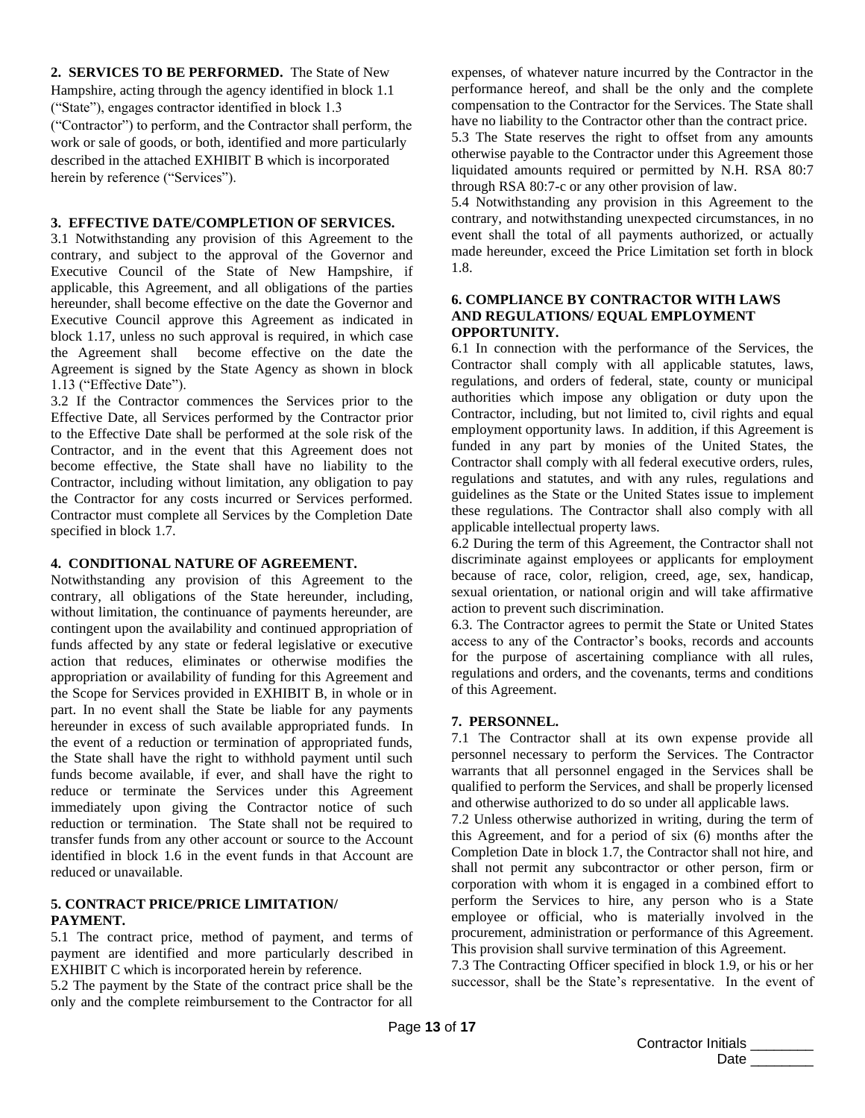**2. SERVICES TO BE PERFORMED.** The State of New Hampshire, acting through the agency identified in block 1.1 ("State"), engages contractor identified in block 1.3 ("Contractor") to perform, and the Contractor shall perform, the work or sale of goods, or both, identified and more particularly described in the attached EXHIBIT B which is incorporated herein by reference ("Services").

#### **3. EFFECTIVE DATE/COMPLETION OF SERVICES.**

3.1 Notwithstanding any provision of this Agreement to the contrary, and subject to the approval of the Governor and Executive Council of the State of New Hampshire, if applicable, this Agreement, and all obligations of the parties hereunder, shall become effective on the date the Governor and Executive Council approve this Agreement as indicated in block 1.17, unless no such approval is required, in which case the Agreement shall become effective on the date the Agreement is signed by the State Agency as shown in block 1.13 ("Effective Date").

3.2 If the Contractor commences the Services prior to the Effective Date, all Services performed by the Contractor prior to the Effective Date shall be performed at the sole risk of the Contractor, and in the event that this Agreement does not become effective, the State shall have no liability to the Contractor, including without limitation, any obligation to pay the Contractor for any costs incurred or Services performed. Contractor must complete all Services by the Completion Date specified in block 1.7.

#### **4. CONDITIONAL NATURE OF AGREEMENT.**

Notwithstanding any provision of this Agreement to the contrary, all obligations of the State hereunder, including, without limitation, the continuance of payments hereunder, are contingent upon the availability and continued appropriation of funds affected by any state or federal legislative or executive action that reduces, eliminates or otherwise modifies the appropriation or availability of funding for this Agreement and the Scope for Services provided in EXHIBIT B, in whole or in part. In no event shall the State be liable for any payments hereunder in excess of such available appropriated funds. In the event of a reduction or termination of appropriated funds, the State shall have the right to withhold payment until such funds become available, if ever, and shall have the right to reduce or terminate the Services under this Agreement immediately upon giving the Contractor notice of such reduction or termination. The State shall not be required to transfer funds from any other account or source to the Account identified in block 1.6 in the event funds in that Account are reduced or unavailable.

#### **5. CONTRACT PRICE/PRICE LIMITATION/ PAYMENT.**

5.1 The contract price, method of payment, and terms of payment are identified and more particularly described in EXHIBIT C which is incorporated herein by reference.

5.2 The payment by the State of the contract price shall be the only and the complete reimbursement to the Contractor for all expenses, of whatever nature incurred by the Contractor in the performance hereof, and shall be the only and the complete compensation to the Contractor for the Services. The State shall have no liability to the Contractor other than the contract price.

5.3 The State reserves the right to offset from any amounts otherwise payable to the Contractor under this Agreement those liquidated amounts required or permitted by N.H. RSA 80:7 through RSA 80:7-c or any other provision of law.

5.4 Notwithstanding any provision in this Agreement to the contrary, and notwithstanding unexpected circumstances, in no event shall the total of all payments authorized, or actually made hereunder, exceed the Price Limitation set forth in block 1.8.

#### **6. COMPLIANCE BY CONTRACTOR WITH LAWS AND REGULATIONS/ EQUAL EMPLOYMENT OPPORTUNITY.**

6.1 In connection with the performance of the Services, the Contractor shall comply with all applicable statutes, laws, regulations, and orders of federal, state, county or municipal authorities which impose any obligation or duty upon the Contractor, including, but not limited to, civil rights and equal employment opportunity laws. In addition, if this Agreement is funded in any part by monies of the United States, the Contractor shall comply with all federal executive orders, rules, regulations and statutes, and with any rules, regulations and guidelines as the State or the United States issue to implement these regulations. The Contractor shall also comply with all applicable intellectual property laws.

6.2 During the term of this Agreement, the Contractor shall not discriminate against employees or applicants for employment because of race, color, religion, creed, age, sex, handicap, sexual orientation, or national origin and will take affirmative action to prevent such discrimination.

6.3. The Contractor agrees to permit the State or United States access to any of the Contractor's books, records and accounts for the purpose of ascertaining compliance with all rules, regulations and orders, and the covenants, terms and conditions of this Agreement.

#### **7. PERSONNEL.**

7.1 The Contractor shall at its own expense provide all personnel necessary to perform the Services. The Contractor warrants that all personnel engaged in the Services shall be qualified to perform the Services, and shall be properly licensed and otherwise authorized to do so under all applicable laws.

7.2 Unless otherwise authorized in writing, during the term of this Agreement, and for a period of six (6) months after the Completion Date in block 1.7, the Contractor shall not hire, and shall not permit any subcontractor or other person, firm or corporation with whom it is engaged in a combined effort to perform the Services to hire, any person who is a State employee or official, who is materially involved in the procurement, administration or performance of this Agreement. This provision shall survive termination of this Agreement.

7.3 The Contracting Officer specified in block 1.9, or his or her successor, shall be the State's representative. In the event of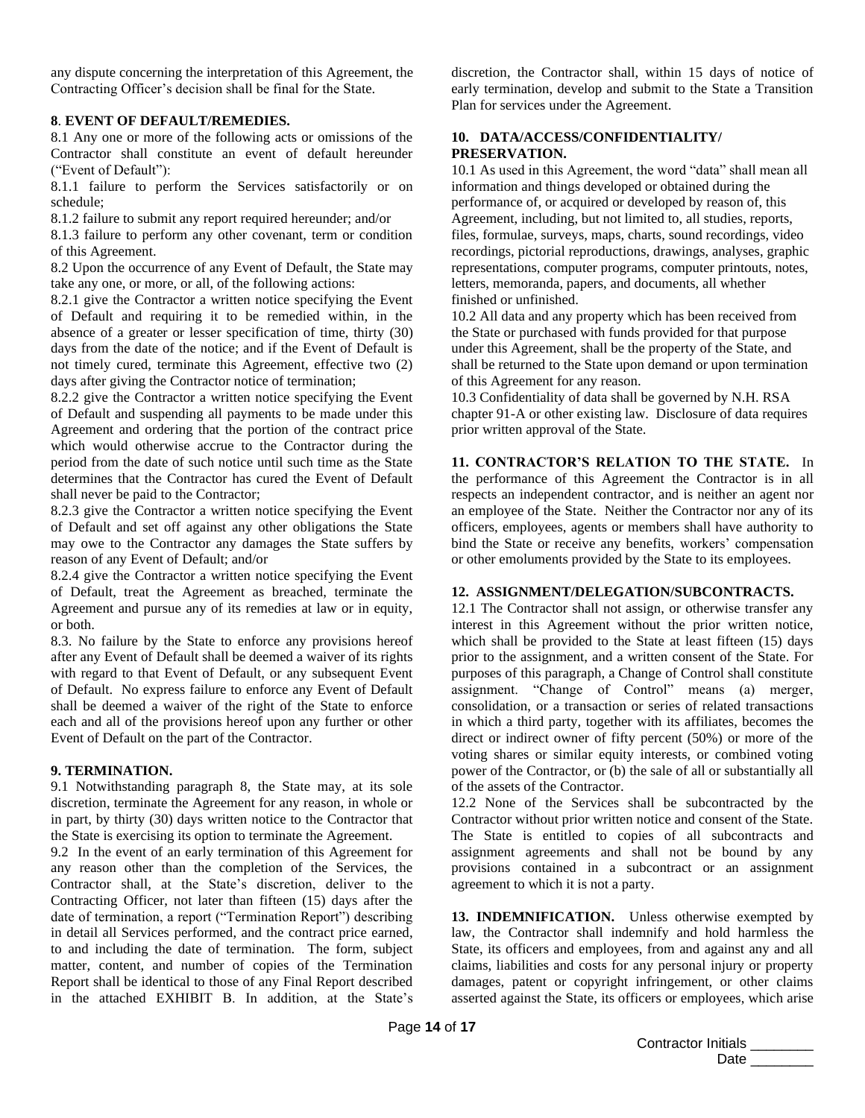any dispute concerning the interpretation of this Agreement, the Contracting Officer's decision shall be final for the State.

#### **8**. **EVENT OF DEFAULT/REMEDIES.**

8.1 Any one or more of the following acts or omissions of the Contractor shall constitute an event of default hereunder ("Event of Default"):

8.1.1 failure to perform the Services satisfactorily or on schedule;

8.1.2 failure to submit any report required hereunder; and/or

8.1.3 failure to perform any other covenant, term or condition of this Agreement.

8.2 Upon the occurrence of any Event of Default, the State may take any one, or more, or all, of the following actions:

8.2.1 give the Contractor a written notice specifying the Event of Default and requiring it to be remedied within, in the absence of a greater or lesser specification of time, thirty (30) days from the date of the notice; and if the Event of Default is not timely cured, terminate this Agreement, effective two (2) days after giving the Contractor notice of termination;

8.2.2 give the Contractor a written notice specifying the Event of Default and suspending all payments to be made under this Agreement and ordering that the portion of the contract price which would otherwise accrue to the Contractor during the period from the date of such notice until such time as the State determines that the Contractor has cured the Event of Default shall never be paid to the Contractor;

8.2.3 give the Contractor a written notice specifying the Event of Default and set off against any other obligations the State may owe to the Contractor any damages the State suffers by reason of any Event of Default; and/or

8.2.4 give the Contractor a written notice specifying the Event of Default, treat the Agreement as breached, terminate the Agreement and pursue any of its remedies at law or in equity, or both.

8.3. No failure by the State to enforce any provisions hereof after any Event of Default shall be deemed a waiver of its rights with regard to that Event of Default, or any subsequent Event of Default. No express failure to enforce any Event of Default shall be deemed a waiver of the right of the State to enforce each and all of the provisions hereof upon any further or other Event of Default on the part of the Contractor.

#### **9. TERMINATION.**

9.1 Notwithstanding paragraph 8, the State may, at its sole discretion, terminate the Agreement for any reason, in whole or in part, by thirty (30) days written notice to the Contractor that the State is exercising its option to terminate the Agreement.

9.2 In the event of an early termination of this Agreement for any reason other than the completion of the Services, the Contractor shall, at the State's discretion, deliver to the Contracting Officer, not later than fifteen (15) days after the date of termination, a report ("Termination Report") describing in detail all Services performed, and the contract price earned, to and including the date of termination. The form, subject matter, content, and number of copies of the Termination Report shall be identical to those of any Final Report described in the attached EXHIBIT B. In addition, at the State's discretion, the Contractor shall, within 15 days of notice of early termination, develop and submit to the State a Transition Plan for services under the Agreement.

## **10. DATA/ACCESS/CONFIDENTIALITY/ PRESERVATION.**

10.1 As used in this Agreement, the word "data" shall mean all information and things developed or obtained during the performance of, or acquired or developed by reason of, this Agreement, including, but not limited to, all studies, reports, files, formulae, surveys, maps, charts, sound recordings, video recordings, pictorial reproductions, drawings, analyses, graphic representations, computer programs, computer printouts, notes, letters, memoranda, papers, and documents, all whether finished or unfinished.

10.2 All data and any property which has been received from the State or purchased with funds provided for that purpose under this Agreement, shall be the property of the State, and shall be returned to the State upon demand or upon termination of this Agreement for any reason.

10.3 Confidentiality of data shall be governed by N.H. RSA chapter 91-A or other existing law. Disclosure of data requires prior written approval of the State.

**11. CONTRACTOR'S RELATION TO THE STATE.** In the performance of this Agreement the Contractor is in all

respects an independent contractor, and is neither an agent nor an employee of the State. Neither the Contractor nor any of its officers, employees, agents or members shall have authority to bind the State or receive any benefits, workers' compensation or other emoluments provided by the State to its employees.

#### **12. ASSIGNMENT/DELEGATION/SUBCONTRACTS.**

12.1 The Contractor shall not assign, or otherwise transfer any interest in this Agreement without the prior written notice, which shall be provided to the State at least fifteen (15) days prior to the assignment, and a written consent of the State. For purposes of this paragraph, a Change of Control shall constitute assignment. "Change of Control" means (a) merger, consolidation, or a transaction or series of related transactions in which a third party, together with its affiliates, becomes the direct or indirect owner of fifty percent (50%) or more of the voting shares or similar equity interests, or combined voting power of the Contractor, or (b) the sale of all or substantially all of the assets of the Contractor.

12.2 None of the Services shall be subcontracted by the Contractor without prior written notice and consent of the State. The State is entitled to copies of all subcontracts and assignment agreements and shall not be bound by any provisions contained in a subcontract or an assignment agreement to which it is not a party.

**13. INDEMNIFICATION.** Unless otherwise exempted by law, the Contractor shall indemnify and hold harmless the State, its officers and employees, from and against any and all claims, liabilities and costs for any personal injury or property damages, patent or copyright infringement, or other claims asserted against the State, its officers or employees, which arise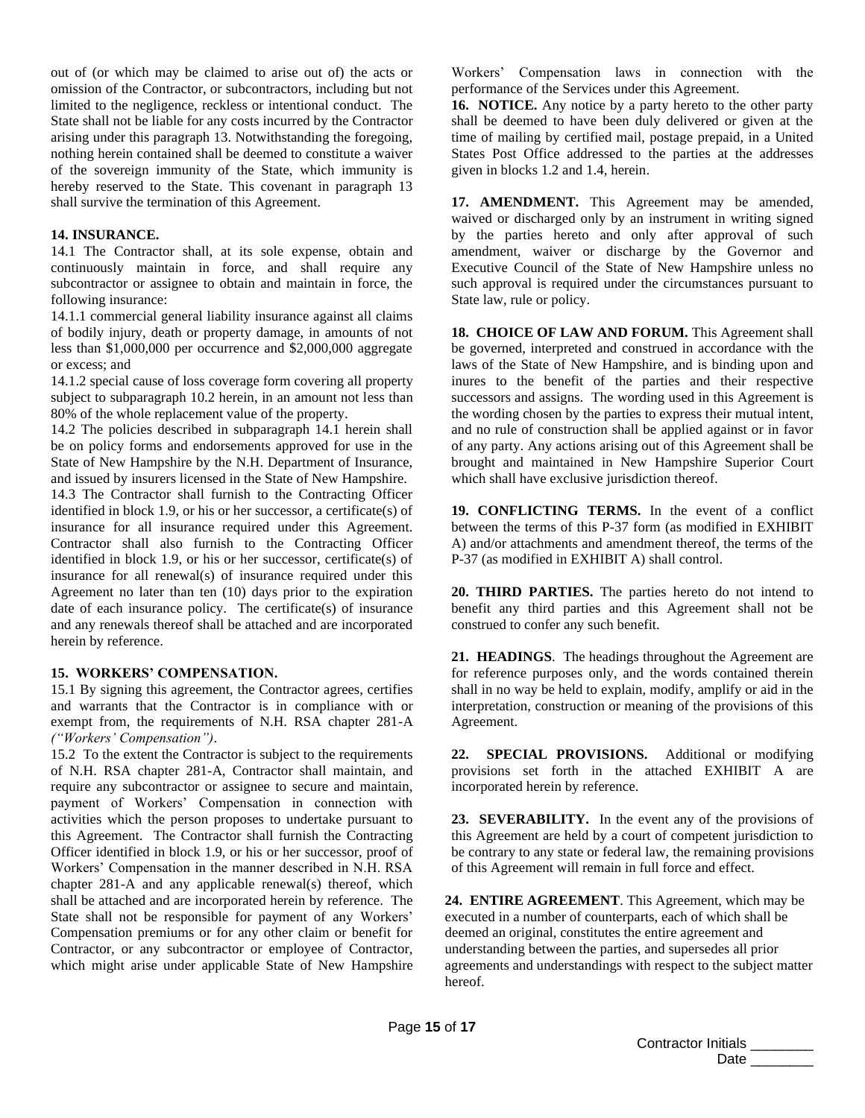out of (or which may be claimed to arise out of) the acts or omission of the Contractor, or subcontractors, including but not limited to the negligence, reckless or intentional conduct. The State shall not be liable for any costs incurred by the Contractor arising under this paragraph 13. Notwithstanding the foregoing, nothing herein contained shall be deemed to constitute a waiver of the sovereign immunity of the State, which immunity is hereby reserved to the State. This covenant in paragraph 13 shall survive the termination of this Agreement.

#### **14. INSURANCE.**

14.1 The Contractor shall, at its sole expense, obtain and continuously maintain in force, and shall require any subcontractor or assignee to obtain and maintain in force, the following insurance:

14.1.1 commercial general liability insurance against all claims of bodily injury, death or property damage, in amounts of not less than \$1,000,000 per occurrence and \$2,000,000 aggregate or excess; and

14.1.2 special cause of loss coverage form covering all property subject to subparagraph 10.2 herein, in an amount not less than 80% of the whole replacement value of the property.

14.2 The policies described in subparagraph 14.1 herein shall be on policy forms and endorsements approved for use in the State of New Hampshire by the N.H. Department of Insurance, and issued by insurers licensed in the State of New Hampshire.

14.3 The Contractor shall furnish to the Contracting Officer identified in block 1.9, or his or her successor, a certificate(s) of insurance for all insurance required under this Agreement. Contractor shall also furnish to the Contracting Officer identified in block 1.9, or his or her successor, certificate(s) of insurance for all renewal(s) of insurance required under this Agreement no later than ten (10) days prior to the expiration date of each insurance policy. The certificate(s) of insurance and any renewals thereof shall be attached and are incorporated herein by reference.

#### **15. WORKERS' COMPENSATION.**

15.1 By signing this agreement, the Contractor agrees, certifies and warrants that the Contractor is in compliance with or exempt from, the requirements of N.H. RSA chapter 281-A *("Workers' Compensation")*.

15.2 To the extent the Contractor is subject to the requirements of N.H. RSA chapter 281-A, Contractor shall maintain, and require any subcontractor or assignee to secure and maintain, payment of Workers' Compensation in connection with activities which the person proposes to undertake pursuant to this Agreement. The Contractor shall furnish the Contracting Officer identified in block 1.9, or his or her successor, proof of Workers' Compensation in the manner described in N.H. RSA chapter 281-A and any applicable renewal(s) thereof, which shall be attached and are incorporated herein by reference. The State shall not be responsible for payment of any Workers' Compensation premiums or for any other claim or benefit for Contractor, or any subcontractor or employee of Contractor, which might arise under applicable State of New Hampshire

Workers' Compensation laws in connection with the performance of the Services under this Agreement.

**16. NOTICE.** Any notice by a party hereto to the other party shall be deemed to have been duly delivered or given at the time of mailing by certified mail, postage prepaid, in a United States Post Office addressed to the parties at the addresses given in blocks 1.2 and 1.4, herein.

**17. AMENDMENT.** This Agreement may be amended, waived or discharged only by an instrument in writing signed by the parties hereto and only after approval of such amendment, waiver or discharge by the Governor and Executive Council of the State of New Hampshire unless no such approval is required under the circumstances pursuant to State law, rule or policy.

**18. CHOICE OF LAW AND FORUM.** This Agreement shall be governed, interpreted and construed in accordance with the laws of the State of New Hampshire, and is binding upon and inures to the benefit of the parties and their respective successors and assigns. The wording used in this Agreement is the wording chosen by the parties to express their mutual intent, and no rule of construction shall be applied against or in favor of any party. Any actions arising out of this Agreement shall be brought and maintained in New Hampshire Superior Court which shall have exclusive jurisdiction thereof.

**19. CONFLICTING TERMS.** In the event of a conflict between the terms of this P-37 form (as modified in EXHIBIT A) and/or attachments and amendment thereof, the terms of the P-37 (as modified in EXHIBIT A) shall control.

**20. THIRD PARTIES.** The parties hereto do not intend to benefit any third parties and this Agreement shall not be construed to confer any such benefit.

**21. HEADINGS**. The headings throughout the Agreement are for reference purposes only, and the words contained therein shall in no way be held to explain, modify, amplify or aid in the interpretation, construction or meaning of the provisions of this Agreement.

**22. SPECIAL PROVISIONS.** Additional or modifying provisions set forth in the attached EXHIBIT A are incorporated herein by reference.

**23. SEVERABILITY.** In the event any of the provisions of this Agreement are held by a court of competent jurisdiction to be contrary to any state or federal law, the remaining provisions of this Agreement will remain in full force and effect.

**24. ENTIRE AGREEMENT**. This Agreement, which may be executed in a number of counterparts, each of which shall be deemed an original, constitutes the entire agreement and understanding between the parties, and supersedes all prior agreements and understandings with respect to the subject matter hereof.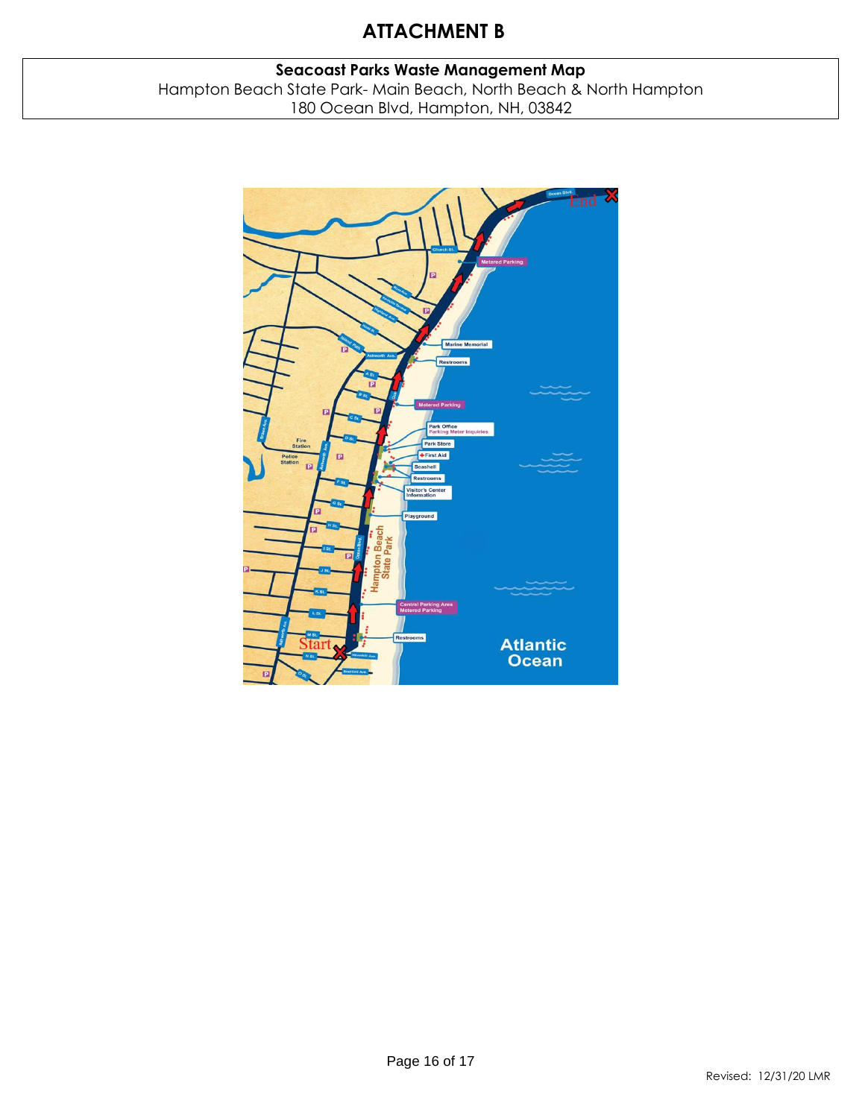# **ATTACHMENT B**

# **Seacoast Parks Waste Management Map** Hampton Beach State Park- Main Beach, North Beach & North Hampton 180 Ocean Blvd, Hampton, NH, 03842